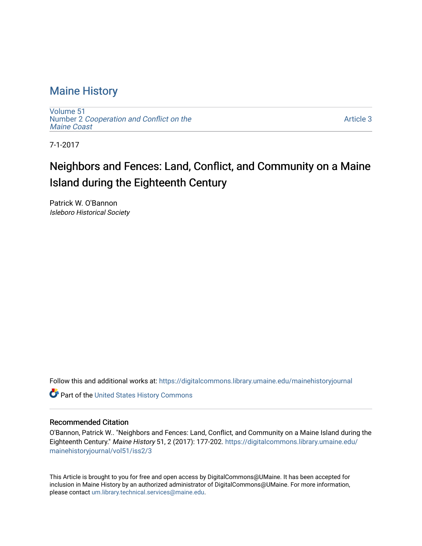# [Maine History](https://digitalcommons.library.umaine.edu/mainehistoryjournal)

[Volume 51](https://digitalcommons.library.umaine.edu/mainehistoryjournal/vol51) Number 2 [Cooperation and Conflict on the](https://digitalcommons.library.umaine.edu/mainehistoryjournal/vol51/iss2) [Maine Coast](https://digitalcommons.library.umaine.edu/mainehistoryjournal/vol51/iss2) 

[Article 3](https://digitalcommons.library.umaine.edu/mainehistoryjournal/vol51/iss2/3) 

7-1-2017

# Neighbors and Fences: Land, Conflict, and Community on a Maine Island during the Eighteenth Century

Patrick W. O'Bannon Isleboro Historical Society

Follow this and additional works at: [https://digitalcommons.library.umaine.edu/mainehistoryjournal](https://digitalcommons.library.umaine.edu/mainehistoryjournal?utm_source=digitalcommons.library.umaine.edu%2Fmainehistoryjournal%2Fvol51%2Fiss2%2F3&utm_medium=PDF&utm_campaign=PDFCoverPages) 

Part of the [United States History Commons](http://network.bepress.com/hgg/discipline/495?utm_source=digitalcommons.library.umaine.edu%2Fmainehistoryjournal%2Fvol51%2Fiss2%2F3&utm_medium=PDF&utm_campaign=PDFCoverPages) 

# Recommended Citation

O'Bannon, Patrick W.. "Neighbors and Fences: Land, Conflict, and Community on a Maine Island during the Eighteenth Century." Maine History 51, 2 (2017): 177-202. [https://digitalcommons.library.umaine.edu/](https://digitalcommons.library.umaine.edu/mainehistoryjournal/vol51/iss2/3?utm_source=digitalcommons.library.umaine.edu%2Fmainehistoryjournal%2Fvol51%2Fiss2%2F3&utm_medium=PDF&utm_campaign=PDFCoverPages) [mainehistoryjournal/vol51/iss2/3](https://digitalcommons.library.umaine.edu/mainehistoryjournal/vol51/iss2/3?utm_source=digitalcommons.library.umaine.edu%2Fmainehistoryjournal%2Fvol51%2Fiss2%2F3&utm_medium=PDF&utm_campaign=PDFCoverPages)

This Article is brought to you for free and open access by DigitalCommons@UMaine. It has been accepted for inclusion in Maine History by an authorized administrator of DigitalCommons@UMaine. For more information, please contact [um.library.technical.services@maine.edu.](mailto:um.library.technical.services@maine.edu)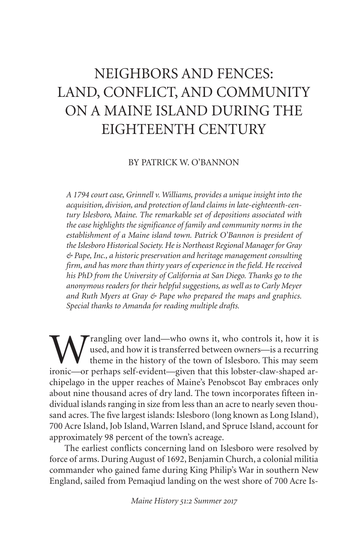# NEIGHBORS AND FENCES: LAND, CONFLICT, AND COMMUNITY ON A MAINE ISLAND DURING THE EIGHTEENTH CENTURY

### BY PATRICK W. O'BANNON

*A 1794 court case, Grinnell v. Williams, provides a unique insight into the acquisition, division, and protection of land claims in late-eighteenth-century Islesboro, Maine. The remarkable set of depositions associated with the case highlights the significance of family and community norms in the establishment of a Maine island town. Patrick O'Bannon is president of theIslesboro Historical Society. Heis Northeast Regional Manager for Gray & Pape, Inc., a historic preservation and heritage management consulting firm, and has more than thirty years of experience in the field. He received his PhD from the University of California at San Diego. Thanks go to the anonymous readers for their helpful suggestions, as well as to Carly Meyer and Ruth Myers at Gray & Pape who prepared the maps and graphics. Special thanks to Amanda for reading multiple drafts.*

rangling over land—who owns it, who controls it, how it is used, and how it is transferred between owners—is a recurring theme in the history of the town of Islesboro. This may seem ironic—or perhaps self-evident—given that this lobster-claw-shaped archipelago in the upper reaches of Maine's Penobscot Bay embraces only about nine thousand acres of dry land. The town incorporates fifteen individual islands ranging in size from less than an acre to nearly seven thousand acres. The five largest islands: Islesboro (long known as Long Island), 700 Acre Island, Job Island, Warren Island, and Spruce Island, account for approximately 98 percent of the town's acreage.

The earliest conflicts concerning land on Islesboro were resolved by force of arms. During August of 1692, Benjamin Church, a colonial militia commander who gained fame during King Philip's War in southern New England, sailed from Pemaqiud landing on the west shore of 700 Acre Is-

*Maine History : Summer*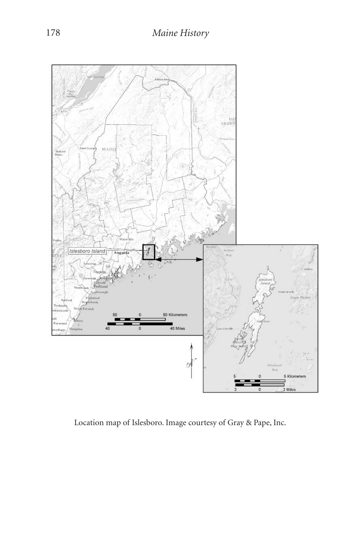

Location map of Islesboro. Image courtesy of Gray & Pape, Inc.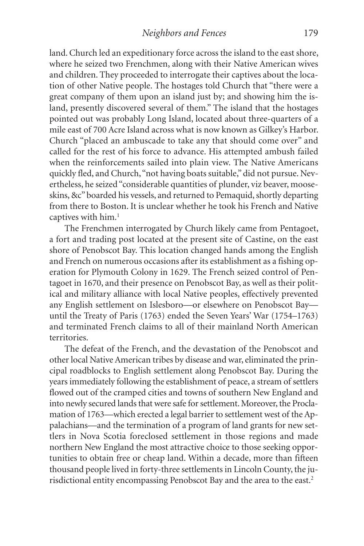land.Church led an expeditionary force across the island to the east shore, where he seized two Frenchmen, along with their Native American wives and children. They proceeded to interrogate their captives about the location of other Native people. The hostages told Church that "there were a great company of them upon an island just by; and showing him the island, presently discovered several of them." The island that the hostages pointed out was probably Long Island, located about three-quarters of a mile east of 700 Acre Island across what is now known as Gilkey's Harbor. Church "placed an ambuscade to take any that should come over" and called for the rest of his force to advance. His attempted ambush failed when the reinforcements sailed into plain view. The Native Americans quickly fled, and Church, "not having boats suitable," did not pursue. Nevertheless, he seized "considerable quantities of plunder, viz beaver, mooseskins, &c" boarded his vessels, and returned to Pemaquid, shortly departing from there to Boston. It is unclear whether he took his French and Native captives with him. 1

The Frenchmen interrogated by Church likely came from Pentagoet, a fort and trading post located at the present site of Castine, on the east shore of Penobscot Bay. This location changed hands among the English and French on numerous occasions after its establishment as a fishing operation for Plymouth Colony in 1629. The French seized control of Pentagoet in 1670, and their presence on Penobscot Bay, as well as their political and military alliance with local Native peoples, effectively prevented any English settlement on Islesboro—or elsewhere on Penobscot Bay until the Treaty of Paris (1763) ended the Seven Years' War (1754–1763) and terminated French claims to all of their mainland North American territories.

The defeat of the French, and the devastation of the Penobscot and other local Native American tribes by disease and war, eliminated the principal roadblocks to English settlement along Penobscot Bay. During the years immediately following the establishment of peace, a stream of settlers flowed out of the cramped cities and towns of southern New England and into newly secured lands that were safe for settlement. Moreover, the Proclamation of 1763—which erected a legal barrier to settlement west of the Appalachians—and the termination of a program of land grants for new settlers in Nova Scotia foreclosed settlement in those regions and made northern New England the most attractive choice to those seeking opportunities to obtain free or cheap land. Within a decade, more than fifteen thousand people lived in forty-three settlements in Lincoln County, the jurisdictional entity encompassing Penobscot Bay and the area to the east. 2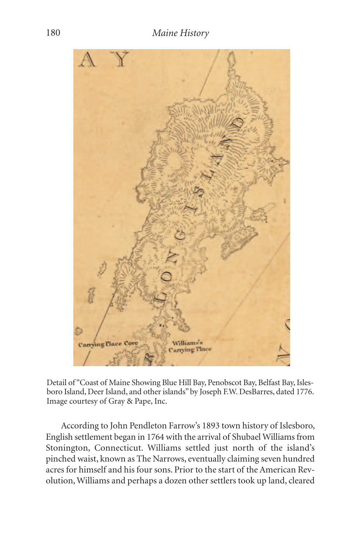

Detail of "Coast of Maine Showing Blue Hill Bay, Penobscot Bay, Belfast Bay, Islesboro Island, Deer Island, and other islands" by Joseph F.W. DesBarres, dated 1776. Image courtesy of Gray & Pape, Inc.

According to John Pendleton Farrow's 1893 town history of Islesboro, English settlement began in 1764 with the arrival of Shubael Williams from Stonington, Connecticut. Williams settled just north of the island's pinched waist, known as The Narrows, eventually claiming seven hundred acres for himself and his four sons. Prior to the start of the American Revolution,Williams and perhaps a dozen other settlers took up land, cleared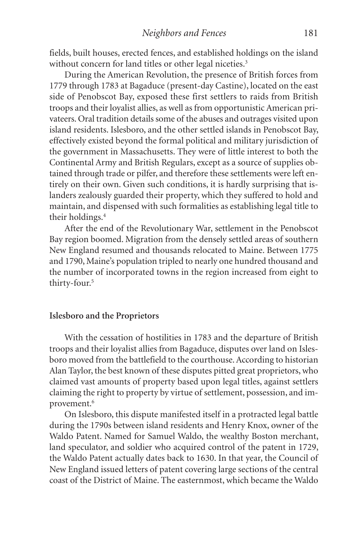fields, built houses, erected fences, and established holdings on the island without concern for land titles or other legal niceties.<sup>3</sup>

During the American Revolution, the presence of British forces from 1779 through 1783 at Bagaduce (present-day Castine), located on the east side of Penobscot Bay, exposed these first settlers to raids from British troops and their loyalist allies, as well as from opportunistic American privateers. Oral tradition details some of the abuses and outrages visited upon island residents. Islesboro, and the other settled islands in Penobscot Bay, effectively existed beyond the formal political and military jurisdiction of the government in Massachusetts. They were of little interest to both the Continental Army and British Regulars, except as a source of supplies obtained through trade or pilfer, and therefore these settlements were left entirely on their own. Given such conditions, it is hardly surprising that islanders zealously guarded their property, which they suffered to hold and maintain, and dispensed with such formalities as establishing legal title to their holdings. 4

After the end of the Revolutionary War, settlement in the Penobscot Bay region boomed. Migration from the densely settled areas of southern New England resumed and thousands relocated to Maine. Between 1775 and 1790, Maine's population tripled to nearly one hundred thousand and the number of incorporated towns in the region increased from eight to thirty-four. 5

### **Islesboro and the Proprietors**

With the cessation of hostilities in 1783 and the departure of British troops and their loyalist allies from Bagaduce, disputes over land on Islesboro moved from the battlefield to the courthouse. According to historian Alan Taylor, the best known of these disputes pitted great proprietors,who claimed vast amounts of property based upon legal titles, against settlers claiming the right to property by virtue of settlement, possession, and improvement. 6

On Islesboro, this dispute manifested itself in a protracted legal battle during the 1790s between island residents and Henry Knox, owner of the Waldo Patent. Named for Samuel Waldo, the wealthy Boston merchant, land speculator, and soldier who acquired control of the patent in 1729, the Waldo Patent actually dates back to 1630. In that year, the Council of New England issued letters of patent covering large sections of the central coast of the District of Maine. The easternmost, which became the Waldo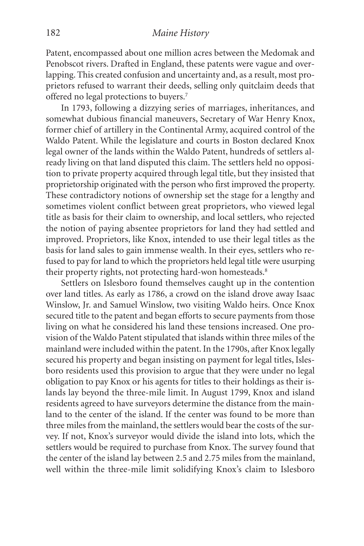Patent, encompassed about one million acres between the Medomak and Penobscot rivers. Drafted in England, these patents were vague and overlapping. This created confusion and uncertainty and, as a result, most proprietors refused to warrant their deeds, selling only quitclaim deeds that offered no legal protections to buyers. 7

In 1793, following a dizzying series of marriages, inheritances, and somewhat dubious financial maneuvers, Secretary of War Henry Knox, former chief of artillery in the Continental Army, acquired control of the Waldo Patent. While the legislature and courts in Boston declared Knox legal owner of the lands within the Waldo Patent, hundreds of settlers already living on that land disputed this claim. The settlers held no opposition to private property acquired through legal title, but they insisted that proprietorship originated with the person who first improved the property. These contradictory notions of ownership set the stage for a lengthy and sometimes violent conflict between great proprietors, who viewed legal title as basis for their claim to ownership, and local settlers, who rejected the notion of paying absentee proprietors for land they had settled and improved. Proprietors, like Knox, intended to use their legal titles as the basis for land sales to gain immense wealth. In their eyes, settlers who refused to pay for land to which the proprietors held legal title were usurping their property rights, not protecting hard-won homesteads. 8

Settlers on Islesboro found themselves caught up in the contention over land titles. As early as 1786, a crowd on the island drove away Isaac Winslow, Jr. and Samuel Winslow, two visiting Waldo heirs. Once Knox secured title to the patent and began efforts to secure payments from those living on what he considered his land these tensions increased. One provision of the Waldo Patent stipulated that islands within three miles of the mainland were included within the patent.In the 1790s, after Knox legally secured his property and began insisting on payment for legal titles, Islesboro residents used this provision to argue that they were under no legal obligation to pay Knox or his agents for titles to their holdings as their islands lay beyond the three-mile limit. In August 1799, Knox and island residents agreed to have surveyors determine the distance from the mainland to the center of the island. If the center was found to be more than three miles from the mainland, the settlers would bear the costs of the survey. If not, Knox's surveyor would divide the island into lots, which the settlers would be required to purchase from Knox. The survey found that the center of the island lay between 2.5 and 2.75 miles from the mainland, well within the three-mile limit solidifying Knox's claim to Islesboro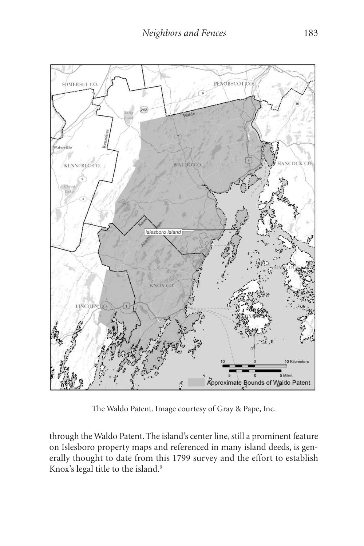

The Waldo Patent. Image courtesy of Gray & Pape, Inc.

through the Waldo Patent. The island's center line, still a prominent feature on Islesboro property maps and referenced in many island deeds, is generally thought to date from this 1799 survey and the effort to establish Knox's legal title to the island. 9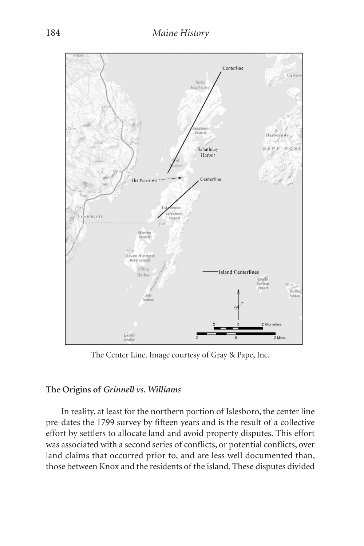

The Center Line. Image courtesy of Gray & Pape, Inc.

## **The Origins of** *Grinnell vs. Williams*

In reality, at least for the northern portion of Islesboro, the center line pre-dates the 1799 survey by fifteen years and is the result of a collective effort by settlers to allocate land and avoid property disputes. This effort was associated with a second series of conflicts, or potential conflicts, over land claims that occurred prior to, and are less well documented than, those between Knox and the residents of the island. These disputes divided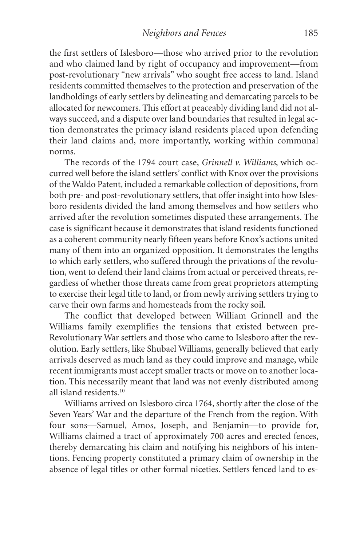the first settlers of Islesboro—those who arrived prior to the revolution and who claimed land by right of occupancy and improvement—from post-revolutionary "new arrivals" who sought free access to land. Island residents committed themselves to the protection and preservation of the landholdings of early settlers by delineating and demarcating parcels to be allocated for newcomers. This effort at peaceably dividing land did not always succeed, and a dispute over land boundaries that resulted in legal action demonstrates the primacy island residents placed upon defending their land claims and, more importantly, working within communal norms.

The records of the 1794 court case, *Grinnell v. Williams*, which occurred well before the island settlers' conflict with Knox over the provisions of the Waldo Patent, included a remarkable collection of depositions, from both pre- and post-revolutionary settlers, that offer insight into how Islesboro residents divided the land among themselves and how settlers who arrived after the revolution sometimes disputed these arrangements. The case is significant because it demonstrates that island residents functioned as a coherent community nearly fifteen years before Knox's actions united many of them into an organized opposition. It demonstrates the lengths to which early settlers, who suffered through the privations of the revolution, went to defend their land claims from actual or perceived threats, regardless of whether those threats came from great proprietors attempting to exercise their legal title to land, or from newly arriving settlers trying to carve their own farms and homesteads from the rocky soil.

The conflict that developed between William Grinnell and the Williams family exemplifies the tensions that existed between pre-Revolutionary War settlers and those who came to Islesboro after the revolution. Early settlers, like Shubael Williams, generally believed that early arrivals deserved as much land as they could improve and manage, while recent immigrants must accept smaller tracts or move on to another location. This necessarily meant that land was not evenly distributed among all island residents. 10

Williams arrived on Islesboro circa 1764, shortly after the close of the Seven Years' War and the departure of the French from the region. With four sons—Samuel, Amos, Joseph, and Benjamin—to provide for, Williams claimed a tract of approximately 700 acres and erected fences, thereby demarcating his claim and notifying his neighbors of his intentions. Fencing property constituted a primary claim of ownership in the absence of legal titles or other formal niceties. Settlers fenced land to es-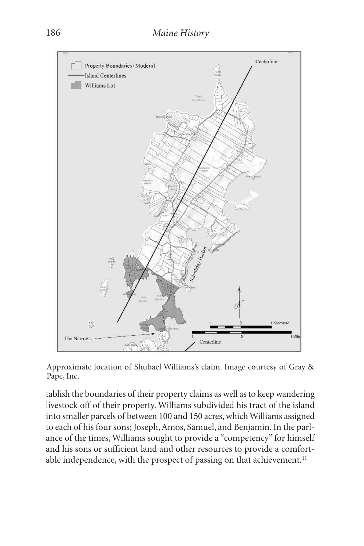

Approximate location of Shubael Williams's claim. Image courtesy of Gray & Pape, Inc.

tablish the boundaries of their property claims as well as to keep wandering livestock off of their property. Williams subdivided his tract of the island into smaller parcels of between 100 and 150 acres, which Williams assigned to each of his four sons; Joseph,Amos, Samuel, and Benjamin.In the parlance of the times, Williams sought to provide a "competency" for himself and his sons or sufficient land and other resources to provide a comfortable independence, with the prospect of passing on that achievement.<sup>11</sup>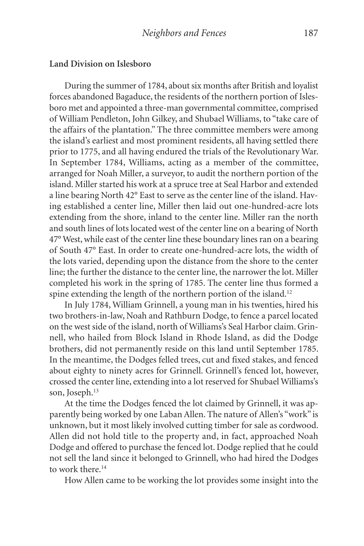#### **Land Division on Islesboro**

During the summer of 1784, about six months after British and loyalist forces abandoned Bagaduce, the residents of the northern portion of Islesboro met and appointed a three-man governmental committee, comprised of William Pendleton, John Gilkey, and Shubael Williams, to "take care of the affairs of the plantation." The three committee members were among the island's earliest and most prominent residents, all having settled there prior to 1775, and all having endured the trials of the Revolutionary War. In September 1784, Williams, acting as a member of the committee, arranged for Noah Miller, a surveyor, to audit the northern portion of the island. Miller started his work at a spruce tree at Seal Harbor and extended a line bearing North 42° East to serve as the center line of the island. Having established a center line, Miller then laid out one-hundred-acre lots extending from the shore, inland to the center line. Miller ran the north and south lines of lots located west of the center line on a bearing of North 47° West, while east of the center line these boundary lines ran on a bearing of South 47° East. In order to create one-hundred-acre lots, the width of the lots varied, depending upon the distance from the shore to the center line; the further the distance to the center line, the narrower the lot. Miller completed his work in the spring of 1785. The center line thus formed a spine extending the length of the northern portion of the island.<sup>12</sup>

In July 1784, William Grinnell, a young man in his twenties, hired his two brothers-in-law, Noah and Rathburn Dodge, to fence a parcel located on the west side of the island, north of Williams's Seal Harbor claim. Grinnell, who hailed from Block Island in Rhode Island, as did the Dodge brothers, did not permanently reside on this land until September 1785. In the meantime, the Dodges felled trees, cut and fixed stakes, and fenced about eighty to ninety acres for Grinnell. Grinnell's fenced lot, however, crossed the center line, extending into a lot reserved for Shubael Williams's son, Joseph. 13

At the time the Dodges fenced the lot claimed by Grinnell, it was apparently being worked by one Laban Allen. The nature of Allen's "work" is unknown, but it most likely involved cutting timber for sale as cordwood. Allen did not hold title to the property and, in fact, approached Noah Dodge and offered to purchase the fenced lot. Dodge replied that he could not sell the land since it belonged to Grinnell, who had hired the Dodges to work there. 14

How Allen came to be working the lot provides some insight into the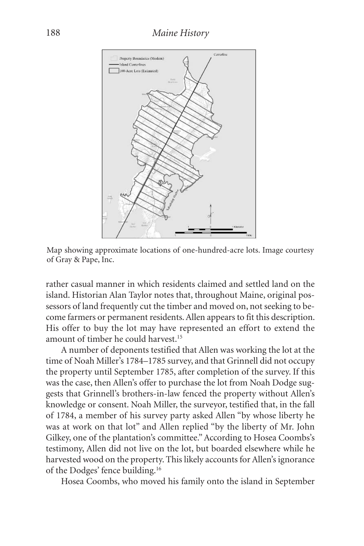

Map showing approximate locations of one-hundred-acre lots. Image courtesy of Gray & Pape, Inc.

rather casual manner in which residents claimed and settled land on the island. Historian Alan Taylor notes that, throughout Maine, original possessors of land frequently cut the timber and moved on, not seeking to become farmers or permanent residents.Allen appears to fit this description. His offer to buy the lot may have represented an effort to extend the amount of timber he could harvest. 15

A number of deponents testified that Allen was working the lot at the time of Noah Miller's 1784–1785 survey, and that Grinnell did not occupy the property until September 1785, after completion of the survey. If this was the case, then Allen's offer to purchase the lot from Noah Dodge suggests that Grinnell's brothers-in-law fenced the property without Allen's knowledge or consent. Noah Miller, the surveyor, testified that, in the fall of 1784, a member of his survey party asked Allen "by whose liberty he was at work on that lot" and Allen replied "by the liberty of Mr. John Gilkey, one of the plantation's committee."According to Hosea Coombs's testimony, Allen did not live on the lot, but boarded elsewhere while he harvested wood on the property. This likely accounts for Allen's ignorance of the Dodges' fence building. 16

Hosea Coombs, who moved his family onto the island in September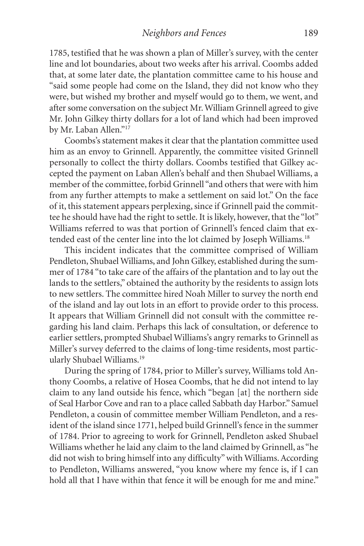1785, testified that he was shown a plan of Miller's survey, with the center line and lot boundaries, about two weeks after his arrival. Coombs added that, at some later date, the plantation committee came to his house and "said some people had come on the Island, they did not know who they were, but wished my brother and myself would go to them, we went, and after some conversation on the subject Mr.William Grinnell agreed to give Mr. John Gilkey thirty dollars for a lot of land which had been improved by Mr. Laban Allen."17

Coombs's statement makes it clear that the plantation committee used him as an envoy to Grinnell. Apparently, the committee visited Grinnell personally to collect the thirty dollars. Coombs testified that Gilkey accepted the payment on Laban Allen's behalf and then Shubael Williams, a member of the committee, forbid Grinnell "and others that were with him from any further attempts to make a settlement on said lot." On the face of it, this statement appears perplexing, since if Grinnell paid the committee he should have had the right to settle. It is likely, however, that the "lot" Williams referred to was that portion of Grinnell's fenced claim that extended east of the center line into the lot claimed by Joseph Williams. 18

This incident indicates that the committee comprised of William Pendleton, Shubael Williams, and John Gilkey, established during the summer of 1784 "to take care of the affairs of the plantation and to lay out the lands to the settlers," obtained the authority by the residents to assign lots to new settlers. The committee hired Noah Miller to survey the north end of the island and lay out lots in an effort to provide order to this process. It appears that William Grinnell did not consult with the committee regarding his land claim. Perhaps this lack of consultation, or deference to earlier settlers, prompted Shubael Williams's angry remarks to Grinnell as Miller's survey deferred to the claims of long-time residents, most particularly Shubael Williams. 19

During the spring of 1784, prior to Miller's survey, Williams told Anthony Coombs, a relative of Hosea Coombs, that he did not intend to lay claim to any land outside his fence, which "began [at] the northern side of Seal Harbor Cove and ran to a place called Sabbath day Harbor." Samuel Pendleton, a cousin of committee member William Pendleton, and a resident of the island since 1771, helped build Grinnell's fence in the summer of 1784. Prior to agreeing to work for Grinnell, Pendleton asked Shubael Williams whether he laid any claim to the land claimed by Grinnell, as "he did not wish to bring himself into any difficulty" with Williams. According to Pendleton, Williams answered, "you know where my fence is, if I can hold all that I have within that fence it will be enough for me and mine."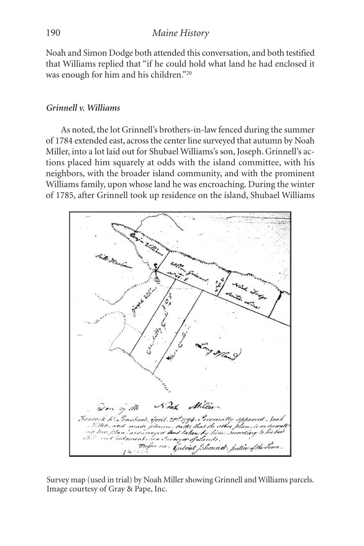Noah and Simon Dodge both attended this conversation, and both testified that Williams replied that "if he could hold what land he had enclosed it was enough for him and his children."20

### *Grinnell v. Williams*

As noted, the lot Grinnell's brothers-in-law fenced during the summer of 1784 extended east, across the center line surveyed that autumn by Noah Miller, into a lot laid out for Shubael Williams's son, Joseph. Grinnell's actions placed him squarely at odds with the island committee, with his neighbors, with the broader island community, and with the prominent Williams family, upon whose land he was encroaching. During the winter of 1785, after Grinnell took up residence on the island, Shubael Williams



Survey map (used in trial) by Noah Miller showing Grinnell and Williams parcels. Image courtesy of Gray & Pape, Inc.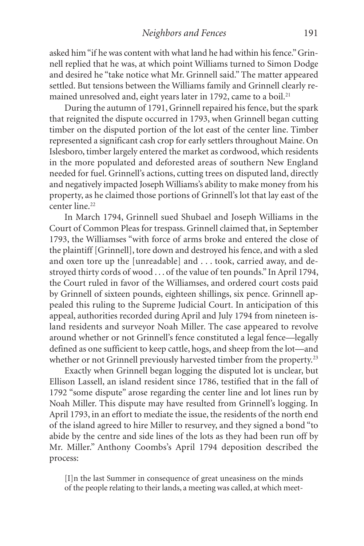asked him"if he was content with what land he had within his fence."Grinnell replied that he was, at which point Williams turned to Simon Dodge and desired he "take notice what Mr. Grinnell said." The matter appeared settled. But tensions between the Williams family and Grinnell clearly remained unresolved and, eight years later in 1792, came to a boil.<sup>21</sup>

During the autumn of 1791, Grinnell repaired his fence, but the spark that reignited the dispute occurred in 1793, when Grinnell began cutting timber on the disputed portion of the lot east of the center line. Timber represented a significant cash crop for early settlers throughout Maine. On Islesboro, timber largely entered the market as cordwood, which residents in the more populated and deforested areas of southern New England needed for fuel. Grinnell's actions, cutting trees on disputed land, directly and negatively impacted Joseph Williams's ability to make money from his property, as he claimed those portions of Grinnell's lot that lay east of the center line. 22

In March 1794, Grinnell sued Shubael and Joseph Williams in the Court of Common Pleas for trespass. Grinnell claimed that, in September 1793, the Williamses "with force of arms broke and entered the close of the plaintiff [Grinnell], tore down and destroyed his fence, and with a sled and oxen tore up the [unreadable] and . . . took, carried away, and destroyed thirty cords of wood . . . of the value of ten pounds." In April 1794, the Court ruled in favor of the Williamses, and ordered court costs paid by Grinnell of sixteen pounds, eighteen shillings, six pence. Grinnell appealed this ruling to the Supreme Judicial Court. In anticipation of this appeal, authorities recorded during April and July 1794 from nineteen island residents and surveyor Noah Miller. The case appeared to revolve around whether or not Grinnell's fence constituted a legal fence—legally defined as one sufficient to keep cattle, hogs, and sheep from the lot—and whether or not Grinnell previously harvested timber from the property.<sup>23</sup>

Exactly when Grinnell began logging the disputed lot is unclear, but Ellison Lassell, an island resident since 1786, testified that in the fall of 1792 "some dispute" arose regarding the center line and lot lines run by Noah Miller. This dispute may have resulted from Grinnell's logging. In April 1793, in an effort to mediate the issue, the residents of the north end of the island agreed to hire Miller to resurvey, and they signed a bond "to abide by the centre and side lines of the lots as they had been run off by Mr. Miller." Anthony Coombs's April 1794 deposition described the process:

[I]n the last Summer in consequence of great uneasiness on the minds of the people relating to their lands, a meeting was called, at which meet-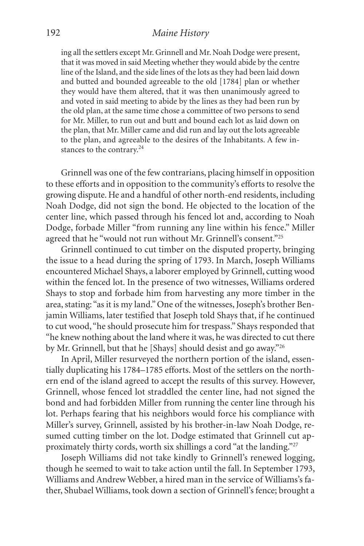#### 192 *Maine History*

ing all the settlers except Mr. Grinnell and Mr. Noah Dodge were present, that it was moved in said Meeting whether they would abide by the centre line of the Island, and the side lines of the lots as they had been laid down and butted and bounded agreeable to the old [1784] plan or whether they would have them altered, that it was then unanimously agreed to and voted in said meeting to abide by the lines as they had been run by the old plan, at the same time chose a committee of two persons to send for Mr. Miller, to run out and butt and bound each lot as laid down on the plan, that Mr. Miller came and did run and lay out the lots agreeable to the plan, and agreeable to the desires of the Inhabitants. A few instances to the contrary.<sup>24</sup>

Grinnell was one of the few contrarians, placing himself in opposition to these efforts and in opposition to the community's efforts to resolve the growing dispute. He and a handful of other north-end residents, including Noah Dodge, did not sign the bond. He objected to the location of the center line, which passed through his fenced lot and, according to Noah Dodge, forbade Miller "from running any line within his fence." Miller agreed that he "would not run without Mr. Grinnell's consent."<sup>25</sup>

Grinnell continued to cut timber on the disputed property, bringing the issue to a head during the spring of 1793. In March, Joseph Williams encountered Michael Shays, a laborer employed by Grinnell, cutting wood within the fenced lot. In the presence of two witnesses, Williams ordered Shays to stop and forbade him from harvesting any more timber in the area, stating: "as it is my land." One of the witnesses, Joseph's brother Benjamin Williams, later testified that Joseph told Shays that, if he continued to cut wood, "he should prosecute him for trespass." Shays responded that "he knew nothing about the land where it was, he was directed to cut there by Mr. Grinnell, but that he [Shays] should desist and go away."26

In April, Miller resurveyed the northern portion of the island, essentially duplicating his 1784–1785 efforts. Most of the settlers on the northern end of the island agreed to accept the results of this survey. However, Grinnell, whose fenced lot straddled the center line, had not signed the bond and had forbidden Miller from running the center line through his lot. Perhaps fearing that his neighbors would force his compliance with Miller's survey, Grinnell, assisted by his brother-in-law Noah Dodge, resumed cutting timber on the lot. Dodge estimated that Grinnell cut approximately thirty cords, worth six shillings a cord "at the landing."27

Joseph Williams did not take kindly to Grinnell's renewed logging, though he seemed to wait to take action until the fall. In September 1793, Williams and Andrew Webber, a hired man in the service of Williams's father, Shubael Williams, took down a section of Grinnell's fence; brought a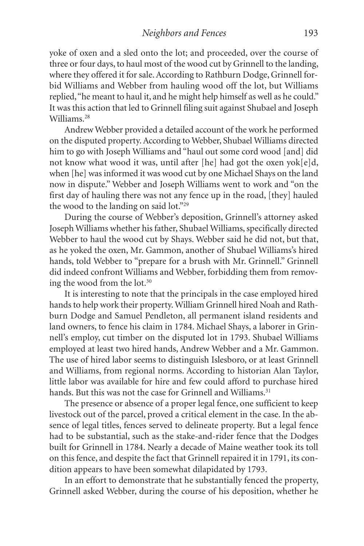yoke of oxen and a sled onto the lot; and proceeded, over the course of three or four days, to haul most of the wood cut by Grinnell to the landing, where they offered it for sale. According to Rathburn Dodge, Grinnell forbid Williams and Webber from hauling wood off the lot, but Williams replied,"he meant to haul it, and he might help himself as well as he could." It was this action that led to Grinnell filing suit against Shubael and Joseph Williams. 28

Andrew Webber provided a detailed account of the work he performed on the disputed property.According to Webber, Shubael Williams directed him to go with Joseph Williams and "haul out some cord wood [and] did not know what wood it was, until after [he] had got the oxen yok[e]d, when [he] was informed it was wood cut by one Michael Shays on the land now in dispute." Webber and Joseph Williams went to work and "on the first day of hauling there was not any fence up in the road, [they] hauled the wood to the landing on said lot."29

During the course of Webber's deposition, Grinnell's attorney asked Joseph Williams whether his father, Shubael Williams, specifically directed Webber to haul the wood cut by Shays. Webber said he did not, but that, as he yoked the oxen, Mr. Gammon, another of Shubael Williams's hired hands, told Webber to "prepare for a brush with Mr. Grinnell." Grinnell did indeed confront Williams and Webber, forbidding them from removing the wood from the lot. 30

It is interesting to note that the principals in the case employed hired hands to help work their property.William Grinnell hired Noah and Rathburn Dodge and Samuel Pendleton, all permanent island residents and land owners, to fence his claim in 1784. Michael Shays, a laborer in Grinnell's employ, cut timber on the disputed lot in 1793. Shubael Williams employed at least two hired hands, Andrew Webber and a Mr. Gammon. The use of hired labor seems to distinguish Islesboro, or at least Grinnell and Williams, from regional norms. According to historian Alan Taylor, little labor was available for hire and few could afford to purchase hired hands. But this was not the case for Grinnell and Williams.<sup>31</sup>

The presence or absence of a proper legal fence, one sufficient to keep livestock out of the parcel, proved a critical element in the case. In the absence of legal titles, fences served to delineate property. But a legal fence had to be substantial, such as the stake-and-rider fence that the Dodges built for Grinnell in 1784. Nearly a decade of Maine weather took its toll on this fence, and despite the fact that Grinnell repaired it in 1791, its condition appears to have been somewhat dilapidated by 1793.

In an effort to demonstrate that he substantially fenced the property, Grinnell asked Webber, during the course of his deposition, whether he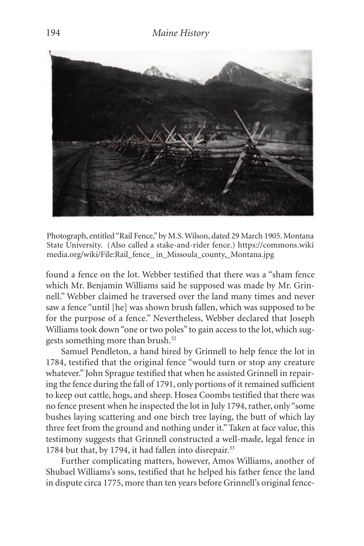

Photograph, entitled"Rail Fence,"by M.S.Wilson, dated 29 March 1905. Montana State University. (Also called a stake-and-rider fence.) https://commons.wiki media.org/wiki/File:Rail\_fence\_ in\_Missoula\_county,\_Montana.jpg

found a fence on the lot. Webber testified that there was a "sham fence which Mr. Benjamin Williams said he supposed was made by Mr. Grinnell." Webber claimed he traversed over the land many times and never saw a fence "until [he] was shown brush fallen, which was supposed to be for the purpose of a fence." Nevertheless, Webber declared that Joseph Williams took down "one or two poles" to gain access to the lot, which suggests something more than brush. 32

Samuel Pendleton, a hand hired by Grinnell to help fence the lot in 1784, testified that the original fence "would turn or stop any creature whatever." John Sprague testified that when he assisted Grinnell in repairing the fence during the fall of 1791, only portions of it remained sufficient to keep out cattle, hogs, and sheep. Hosea Coombs testified that there was no fence present when he inspected the lot in July 1794, rather, only "some bushes laying scattering and one birch tree laying, the butt of which lay three feet from the ground and nothing under it." Taken at face value, this testimony suggests that Grinnell constructed a well-made, legal fence in 1784 but that, by 1794, it had fallen into disrepair. 33

Further complicating matters, however, Amos Williams, another of Shubael Williams's sons, testified that he helped his father fence the land in dispute circa 1775, more than ten years before Grinnell's original fence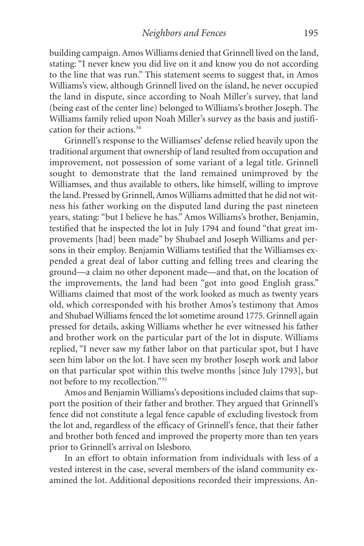building campaign.Amos Williams denied that Grinnell lived on the land, stating: "I never knew you did live on it and know you do not according to the line that was run." This statement seems to suggest that, in Amos Williams's view, although Grinnell lived on the island, he never occupied the land in dispute, since according to Noah Miller's survey, that land (being east of the center line) belonged to Williams's brother Joseph. The Williams family relied upon Noah Miller's survey as the basis and justification for their actions. 34

Grinnell's response to the Williamses' defense relied heavily upon the traditional argument that ownership of land resulted from occupation and improvement, not possession of some variant of a legal title. Grinnell sought to demonstrate that the land remained unimproved by the Williamses, and thus available to others, like himself, willing to improve the land. Pressed by Grinnell,Amos Williams admitted that he did not witness his father working on the disputed land during the past nineteen years, stating: "but I believe he has." Amos Williams's brother, Benjamin, testified that he inspected the lot in July 1794 and found "that great improvements [had] been made" by Shubael and Joseph Williams and persons in their employ. Benjamin Williams testified that the Williamses expended a great deal of labor cutting and felling trees and clearing the ground—a claim no other deponent made—and that, on the location of the improvements, the land had been "got into good English grass." Williams claimed that most of the work looked as much as twenty years old, which corresponded with his brother Amos's testimony that Amos and Shubael Williams fenced the lot sometime around 1775. Grinnell again pressed for details, asking Williams whether he ever witnessed his father and brother work on the particular part of the lot in dispute. Williams replied, "I never saw my father labor on that particular spot, but I have seen him labor on the lot. I have seen my brother Joseph work and labor on that particular spot within this twelve months [since July 1793], but not before to my recollection."35

Amos and Benjamin Williams's depositions included claims that support the position of their father and brother. They argued that Grinnell's fence did not constitute a legal fence capable of excluding livestock from the lot and, regardless of the efficacy of Grinnell's fence, that their father and brother both fenced and improved the property more than ten years prior to Grinnell's arrival on Islesboro.

In an effort to obtain information from individuals with less of a vested interest in the case, several members of the island community examined the lot. Additional depositions recorded their impressions. An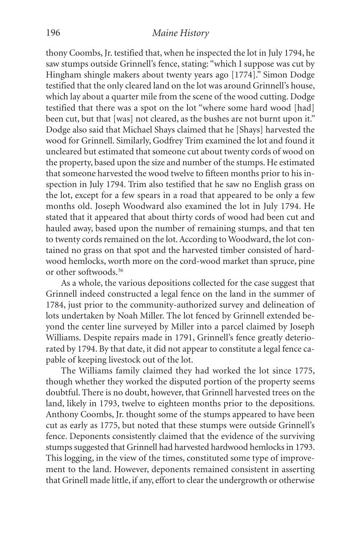thony Coombs, Jr. testified that, when he inspected the lot in July 1794, he saw stumps outside Grinnell's fence, stating: "which I suppose was cut by Hingham shingle makers about twenty years ago [1774]." Simon Dodge testified that the only cleared land on the lot was around Grinnell's house, which lay about a quarter mile from the scene of the wood cutting. Dodge testified that there was a spot on the lot "where some hard wood [had] been cut, but that [was] not cleared, as the bushes are not burnt upon it." Dodge also said that Michael Shays claimed that he [Shays] harvested the wood for Grinnell. Similarly, Godfrey Trim examined the lot and found it uncleared but estimated that someone cut about twenty cords of wood on the property, based upon the size and number of the stumps. He estimated that someone harvested the wood twelve to fifteen months prior to his inspection in July 1794. Trim also testified that he saw no English grass on the lot, except for a few spears in a road that appeared to be only a few months old. Joseph Woodward also examined the lot in July 1794. He stated that it appeared that about thirty cords of wood had been cut and hauled away, based upon the number of remaining stumps, and that ten to twenty cords remained on the lot.According to Woodward, the lot contained no grass on that spot and the harvested timber consisted of hardwood hemlocks, worth more on the cord-wood market than spruce, pine or other softwoods. 36

As a whole, the various depositions collected for the case suggest that Grinnell indeed constructed a legal fence on the land in the summer of 1784, just prior to the community-authorized survey and delineation of lots undertaken by Noah Miller. The lot fenced by Grinnell extended beyond the center line surveyed by Miller into a parcel claimed by Joseph Williams. Despite repairs made in 1791, Grinnell's fence greatly deteriorated by 1794. By that date, it did not appear to constitute a legal fence capable of keeping livestock out of the lot.

The Williams family claimed they had worked the lot since 1775, though whether they worked the disputed portion of the property seems doubtful. There is no doubt, however, that Grinnell harvested trees on the land, likely in 1793, twelve to eighteen months prior to the depositions. Anthony Coombs, Jr. thought some of the stumps appeared to have been cut as early as 1775, but noted that these stumps were outside Grinnell's fence. Deponents consistently claimed that the evidence of the surviving stumps suggested that Grinnell had harvested hardwood hemlocks in 1793. This logging, in the view of the times, constituted some type of improvement to the land. However, deponents remained consistent in asserting that Grinell made little, if any, effort to clear the undergrowth or otherwise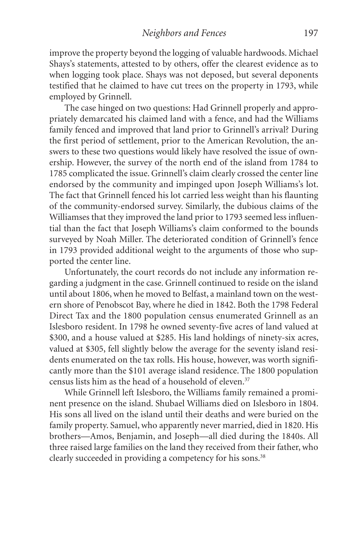improve the property beyond the logging of valuable hardwoods. Michael Shays's statements, attested to by others, offer the clearest evidence as to when logging took place. Shays was not deposed, but several deponents testified that he claimed to have cut trees on the property in 1793, while employed by Grinnell.

The case hinged on two questions: Had Grinnell properly and appropriately demarcated his claimed land with a fence, and had the Williams family fenced and improved that land prior to Grinnell's arrival? During the first period of settlement, prior to the American Revolution, the answers to these two questions would likely have resolved the issue of ownership. However, the survey of the north end of the island from 1784 to 1785 complicated the issue. Grinnell's claim clearly crossed the center line endorsed by the community and impinged upon Joseph Williams's lot. The fact that Grinnell fenced his lot carried less weight than his flaunting of the community-endorsed survey. Similarly, the dubious claims of the Williamses that they improved the land prior to 1793 seemed less influential than the fact that Joseph Williams's claim conformed to the bounds surveyed by Noah Miller. The deteriorated condition of Grinnell's fence in 1793 provided additional weight to the arguments of those who supported the center line.

Unfortunately, the court records do not include any information regarding a judgment in the case. Grinnell continued to reside on the island until about 1806,when he moved to Belfast, a mainland town on the western shore of Penobscot Bay, where he died in 1842. Both the 1798 Federal Direct Tax and the 1800 population census enumerated Grinnell as an Islesboro resident. In 1798 he owned seventy-five acres of land valued at \$300, and a house valued at \$285. His land holdings of ninety-six acres, valued at \$305, fell slightly below the average for the seventy island residents enumerated on the tax rolls. His house, however, was worth significantly more than the \$101 average island residence.The 1800 population census lists him as the head of a household of eleven. 37

While Grinnell left Islesboro, the Williams family remained a prominent presence on the island. Shubael Williams died on Islesboro in 1804. His sons all lived on the island until their deaths and were buried on the family property. Samuel, who apparently never married, died in 1820. His brothers—Amos, Benjamin, and Joseph—all died during the 1840s. All three raised large families on the land they received from their father, who clearly succeeded in providing a competency for his sons. 38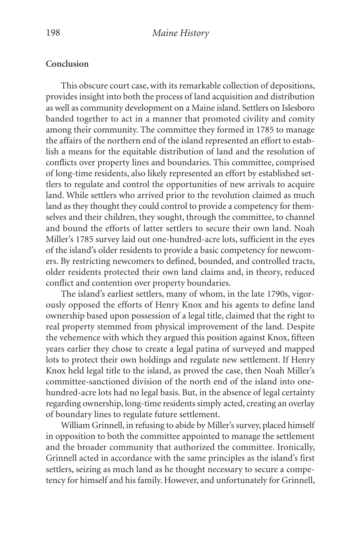#### **Conclusion**

This obscure court case, with its remarkable collection of depositions, provides insight into both the process of land acquisition and distribution as well as community development on a Maine island. Settlers on Islesboro banded together to act in a manner that promoted civility and comity among their community. The committee they formed in 1785 to manage the affairs of the northern end of the island represented an effort to establish a means for the equitable distribution of land and the resolution of conflicts over property lines and boundaries. This committee, comprised of long-time residents, also likely represented an effort by established settlers to regulate and control the opportunities of new arrivals to acquire land. While settlers who arrived prior to the revolution claimed as much land as they thought they could control to provide a competency for themselves and their children, they sought, through the committee, to channel and bound the efforts of latter settlers to secure their own land. Noah Miller's 1785 survey laid out one-hundred-acre lots, sufficient in the eyes of the island's older residents to provide a basic competency for newcomers. By restricting newcomers to defined, bounded, and controlled tracts, older residents protected their own land claims and, in theory, reduced conflict and contention over property boundaries.

The island's earliest settlers, many of whom, in the late 1790s, vigorously opposed the efforts of Henry Knox and his agents to define land ownership based upon possession of a legal title, claimed that the right to real property stemmed from physical improvement of the land. Despite the vehemence with which they argued this position against Knox, fifteen years earlier they chose to create a legal patina of surveyed and mapped lots to protect their own holdings and regulate new settlement. If Henry Knox held legal title to the island, as proved the case, then Noah Miller's committee-sanctioned division of the north end of the island into onehundred-acre lots had no legal basis. But, in the absence of legal certainty regarding ownership, long-time residents simply acted, creating an overlay of boundary lines to regulate future settlement.

William Grinnell, in refusing to abide by Miller's survey, placed himself in opposition to both the committee appointed to manage the settlement and the broader community that authorized the committee. Ironically, Grinnell acted in accordance with the same principles as the island's first settlers, seizing as much land as he thought necessary to secure a competency for himself and his family. However, and unfortunately for Grinnell,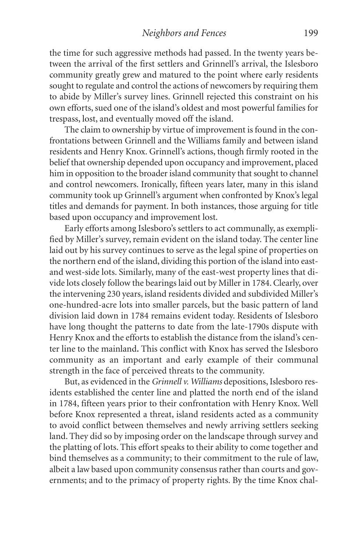the time for such aggressive methods had passed. In the twenty years between the arrival of the first settlers and Grinnell's arrival, the Islesboro community greatly grew and matured to the point where early residents sought to regulate and control the actions of newcomers by requiring them to abide by Miller's survey lines. Grinnell rejected this constraint on his own efforts, sued one of the island's oldest and most powerful families for trespass, lost, and eventually moved off the island.

The claim to ownership by virtue of improvement is found in the confrontations between Grinnell and the Williams family and between island residents and Henry Knox. Grinnell's actions, though firmly rooted in the belief that ownership depended upon occupancy and improvement, placed him in opposition to the broader island community that sought to channel and control newcomers. Ironically, fifteen years later, many in this island community took up Grinnell's argument when confronted by Knox's legal titles and demands for payment. In both instances, those arguing for title based upon occupancy and improvement lost.

Early efforts among Islesboro's settlers to act communally, as exemplified by Miller's survey, remain evident on the island today. The center line laid out by his survey continues to serve as the legal spine of properties on the northern end of the island, dividing this portion of the island into eastand west-side lots. Similarly, many of the east-west property lines that divide lots closely follow the bearings laid out by Miller in 1784.Clearly, over the intervening 230 years, island residents divided and subdivided Miller's one-hundred-acre lots into smaller parcels, but the basic pattern of land division laid down in 1784 remains evident today. Residents of Islesboro have long thought the patterns to date from the late-1790s dispute with Henry Knox and the efforts to establish the distance from the island's center line to the mainland**.** This conflict with Knox has served the Islesboro community as an important and early example of their communal strength in the face of perceived threats to the community.

But, as evidenced in the *Grinnell v. Williams* depositions, Islesboro residents established the center line and platted the north end of the island in 1784, fifteen years prior to their confrontation with Henry Knox. Well before Knox represented a threat, island residents acted as a community to avoid conflict between themselves and newly arriving settlers seeking land. They did so by imposing order on the landscape through survey and the platting of lots. This effort speaks to their ability to come together and bind themselves as a community; to their commitment to the rule of law, albeit a law based upon community consensus rather than courts and governments; and to the primacy of property rights. By the time Knox chal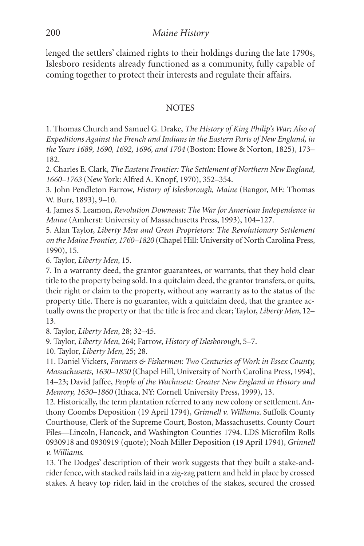lenged the settlers' claimed rights to their holdings during the late 1790s, Islesboro residents already functioned as a community, fully capable of coming together to protect their interests and regulate their affairs.

# **NOTES**

1. Thomas Church and Samuel G. Drake, *The History of King Philip's War; Also of Expeditions Against the French and Indians in the Eastern Parts of New England, in the Years 1689, 1690, 1692, 1696, and 1704* (Boston: Howe & Norton, 1825), 173– 182.

2.Charles E.Clark, *The Eastern Frontier: The Settlement of Northern New England, 1660–1763* (New York: Alfred A. Knopf, 1970), 352–354.

3. John Pendleton Farrow, *History of Islesborough, Maine* (Bangor, ME: Thomas W. Burr, 1893), 9–10.

4. James S. Leamon, *Revolution Downeast: The War for American Independence in Maine* (Amherst: University of Massachusetts Press, 1993), 104–127.

5. Alan Taylor, *Liberty Men and Great Proprietors: The Revolutionary Settlement on the Maine Frontier, 1760–1820* (Chapel Hill: University of North Carolina Press, 1990), 15.

6. Taylor, *Liberty Men*, 15.

7. In a warranty deed, the grantor guarantees, or warrants, that they hold clear title to the property being sold. In a quitclaim deed, the grantor transfers, or quits, their right or claim to the property, without any warranty as to the status of the property title. There is no guarantee, with a quitclaim deed, that the grantee actually owns the property or that the title is free and clear; Taylor, *Liberty Men*, 12– 13.

8. Taylor, *Liberty Men*, 28; 32–45.

9. Taylor, *Liberty Men*, 264; Farrow, *History of Islesborough*, 5–7.

10. Taylor, *Liberty Men*, 25; 28.

11. Daniel Vickers, *Farmers & Fishermen: Two Centuries of Work in Essex County, Massachusetts, 1630–1850* (Chapel Hill, University of North Carolina Press, 1994), 14–23; David Jaffee, *People of the Wachusett: Greater New England in History and Memory, 1630–1860* (Ithaca, NY: Cornell University Press, 1999), 13.

12. Historically, the term plantation referred to any new colony or settlement.Anthony Coombs Deposition (19 April 1794), *Grinnell v. Williams*. Suffolk County Courthouse, Clerk of the Supreme Court, Boston, Massachusetts. County Court Files—Lincoln, Hancock, and Washington Counties 1794. LDS Microfilm Rolls 0930918 and 0930919 (quote); Noah Miller Deposition (19 April 1794), *Grinnell v. Williams*.

13. The Dodges' description of their work suggests that they built a stake-andrider fence,with stacked rails laid in a zig-zag pattern and held in place by crossed stakes. A heavy top rider, laid in the crotches of the stakes, secured the crossed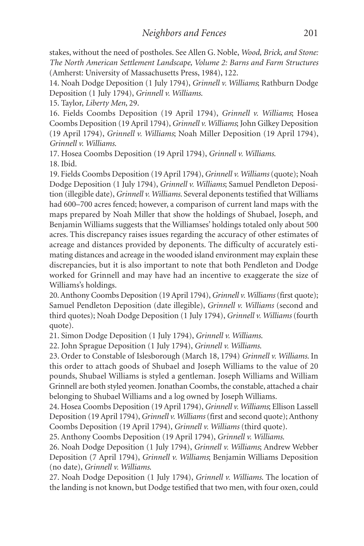stakes, without the need of postholes. See Allen G. Noble, *Wood, Brick, and Stone: The North American Settlement Landscape, Volume 2: Barns and Farm Structures* (Amherst: University of Massachusetts Press, 1984), 122.

14. Noah Dodge Deposition (1 July 1794), *Grinnell v. Williams*; Rathburn Dodge Deposition (1 July 1794), *Grinnell v. Williams*.

15. Taylor, *Liberty Men*, 29.

16. Fields Coombs Deposition (19 April 1794), *Grinnell v. Williams*; Hosea Coombs Deposition (19 April 1794),*Grinnell v. Williams*; John Gilkey Deposition (19 April 1794), *Grinnell v. Williams*; Noah Miller Deposition (19 April 1794), *Grinnell v. Williams*.

17. Hosea Coombs Deposition (19 April 1794), *Grinnell v. Williams*. 18. Ibid.

19. Fields Coombs Deposition (19 April 1794),*Grinnell v. Williams* (quote); Noah Dodge Deposition (1 July 1794), *Grinnell v. Williams*; Samuel Pendleton Deposition (illegible date),*Grinnell v. Williams*. Several deponents testified that Williams had 600–700 acres fenced; however, a comparison of current land maps with the maps prepared by Noah Miller that show the holdings of Shubael, Joseph, and Benjamin Williams suggests that the Williamses' holdings totaled only about 500 acres. This discrepancy raises issues regarding the accuracy of other estimates of acreage and distances provided by deponents. The difficulty of accurately estimating distances and acreage in the wooded island environment may explain these discrepancies, but it is also important to note that both Pendleton and Dodge worked for Grinnell and may have had an incentive to exaggerate the size of Williams's holdings.

20.Anthony Coombs Deposition (19 April 1794),*Grinnell v.Williams*(first quote); Samuel Pendleton Deposition (date illegible), *Grinnell v. Williams* (second and third quotes); Noah Dodge Deposition (1 July 1794), *Grinnell v. Williams* (fourth quote).

21. Simon Dodge Deposition (1 July 1794), *Grinnell v. Williams*.

22. John Sprague Deposition (1 July 1794), *Grinnell v. Williams*.

23. Order to Constable of Islesborough (March 18, 1794) *Grinnell v. Williams*. In this order to attach goods of Shubael and Joseph Williams to the value of 20 pounds, Shubael Williams is styled a gentleman. Joseph Williams and William Grinnell are both styled yeomen. Jonathan Coombs, the constable, attached a chair belonging to Shubael Williams and a log owned by Joseph Williams.

24. Hosea Coombs Deposition (19 April 1794),*Grinnell v.Williams*; Ellison Lassell Deposition (19 April 1794), *Grinnell v. Williams* (first and second quote); Anthony Coombs Deposition (19 April 1794), *Grinnell v. Williams* (third quote).

25. Anthony Coombs Deposition (19 April 1794), *Grinnell v. Williams*.

26. Noah Dodge Deposition (1 July 1794), *Grinnell v. Williams*; Andrew Webber Deposition (7 April 1794), *Grinnell v. Williams*; Benjamin Williams Deposition (no date), *Grinnell v. Williams*.

27. Noah Dodge Deposition (1 July 1794), *Grinnell v. Williams*. The location of the landing is not known, but Dodge testified that two men, with four oxen, could